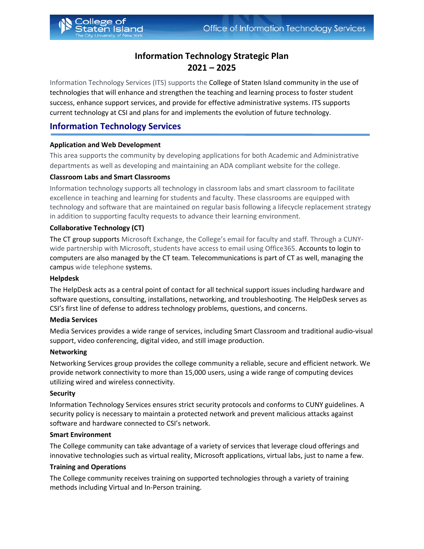# **2021 – 2025 Information Technology Strategic Plan**

 current technology at CSI and plans for and implements the evolution of future technology. Information Technology Services (ITS) supports the College of Staten Island community in the use of technologies that will enhance and strengthen the teaching and learning process to foster student success, enhance support services, and provide for effective administrative systems. ITS supports

# **Information Technology Services**

n Island

### **Application and Web Development**

 This area supports the community by developing applications for both Academic and Administrative departments as well as developing and maintaining an ADA compliant website for the college.

### **[Classroom Labs and Smart](https://www.csi.cuny.edu/online-resources/office-information-technology-services/computer-labs-multimedia-classrooms) Classrooms**

 Information technology supports all technology in classroom labs and smart classroom to facilitate technology and software that are maintained on regular basis following a lifecycle replacement strategy excellence in teaching and learning for students and faculty. These classrooms are equipped with in addition to supporting faculty requests to advance their learning environment.

### **Collaborative Technology (CT)**

 computers are also managed by the CT team. Telecommunications is part of CT as well, managing the campus wide telephone systems. The CT group supports Microsoft Exchange, the College's email for faculty and staff. Through a CUNYwide partnership with Microsoft, students have access to email using Office365. Accounts to login to

### **Helpdesk**

 software questions, consulting, installations, networking, and troubleshooting. The HelpDesk serves as The HelpDesk acts as a central point of contact for all technical support issues including hardware and CSI's first line of defense to address technology problems, questions, and concerns.

### **Media Services**

Media Services provides a wide range of services, including Smart Classroom and traditional audio-visual support, video conferencing, digital video, and still image production.

### **[Networking](https://www.csi.cuny.edu/online-resources/office-information-technology-services/networking-services)**

Networking Services group provides the college community a reliable, secure and efficient network. We provide network connectivity to more than 15,000 users, using a wide range of computing devices utilizing wired and wireless connectivity.

### **Security**

 Information Technology Services ensures strict security protocols and conforms to CUNY guidelines. A security policy is necessary to maintain a protected network and prevent malicious attacks against software and hardware connected to CSI's network.

### **Smart Environment**

 The College community can take advantage of a variety of services that leverage cloud offerings and innovative technologies such as virtual reality, Microsoft applications, virtual labs, just to name a few.

### **Training and Operations**

 methods including Virtual and In-Person training. The College community receives training on supported technologies through a variety of training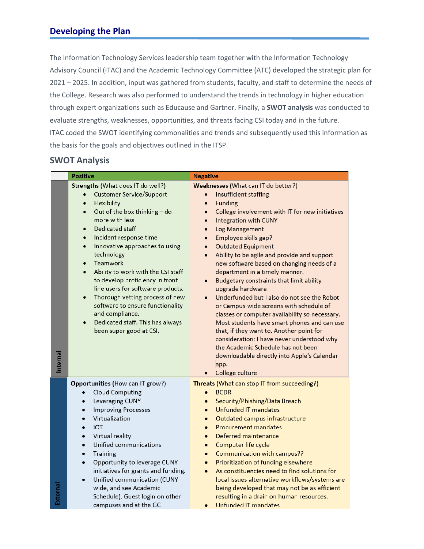# **Developing the Plan**

 evaluate strengths, weaknesses, opportunities, and threats facing CSI today and in the future. The Information Technology Services leadership team together with the Information Technology Advisory Council (ITAC) and the Academic Technology Committee (ATC) developed the strategic plan for 2021 – 2025. In addition, input was gathered from students, faculty, and staff to determine the needs of the College. Research was also performed to understand the trends in technology in higher education through expert organizations such as Educause and Gartner. Finally, a **SWOT analysis** was conducted to ITAC coded the SWOT identifying commonalities and trends and subsequently used this information as the basis for the goals and objectives outlined in the ITSP.

## **SWOT Analysis**

|          | <b>Positive</b>                                                                                                                                                                                                                                                                                                                                                                                                                                                                                                                                                                                                               | <b>Negative</b>                                                                                                                                                                                                                                                                                                                                                                                                                                                                                                                                                                                                                                                                                                                                                                                                                                                             |
|----------|-------------------------------------------------------------------------------------------------------------------------------------------------------------------------------------------------------------------------------------------------------------------------------------------------------------------------------------------------------------------------------------------------------------------------------------------------------------------------------------------------------------------------------------------------------------------------------------------------------------------------------|-----------------------------------------------------------------------------------------------------------------------------------------------------------------------------------------------------------------------------------------------------------------------------------------------------------------------------------------------------------------------------------------------------------------------------------------------------------------------------------------------------------------------------------------------------------------------------------------------------------------------------------------------------------------------------------------------------------------------------------------------------------------------------------------------------------------------------------------------------------------------------|
| Internal | Strengths (What does IT do well?)<br><b>Customer Service/Support</b><br>Flexibility<br>$\bullet$<br>Out of the box thinking - do<br>$\bullet$<br>more with less<br>Dedicated staff<br>$\bullet$<br>Incident response time<br>$\bullet$<br>Innovative approaches to using<br>$\bullet$<br>technology<br>Teamwork<br>$\bullet$<br>Ability to work with the CSI staff<br>$\bullet$<br>to develop proficiency in front<br>line users for software products.<br>Thorough vetting process of new<br>$\bullet$<br>software to ensure functionality<br>and compliance.<br>Dedicated staff. This has always<br>been super good at CSI. | Weaknesses (What can IT do better?)<br>Insufficient staffing<br><b>Funding</b><br>College involvement with IT for new initiatives<br>Integration with CUNY<br>Log Management<br>Employee skills gap?<br><b>Outdated Equipment</b><br>$\bullet$<br>Ability to be agile and provide and support<br>$\bullet$<br>new software based on changing needs of a<br>department in a timely manner.<br>Budgetary constraints that limit ability<br>$\bullet$<br>upgrade hardware<br>Underfunded but I also do not see the Robot<br>or Campus-wide screens with schedule of<br>classes or computer availability so necessary.<br>Most students have smart phones and can use<br>that, if they want to. Another point for<br>consideration: I have never understood why<br>the Academic Schedule has not been<br>downloadable directly into Apple's Calendar<br>app.<br>College culture |
| Externa  | Opportunities (How can IT grow?)<br><b>Cloud Computing</b><br>Leveraging CUNY<br>٠<br><b>Improving Processes</b><br>$\bullet$<br>Virtualization<br><b>IOT</b><br>Virtual reality<br>Unified communications<br>$\bullet$<br>Training<br>٠<br>Opportunity to leverage CUNY<br>$\bullet$<br>initiatives for grants and funding.<br>Unified communication (CUNY<br>$\bullet$<br>wide, and see Academic<br>Schedule). Guest login on other<br>campuses and at the GC                                                                                                                                                               | Threats (What can stop IT from succeeding?)<br><b>BCDR</b><br>Security/Phishing/Data Breach<br><b>Unfunded IT mandates</b><br>Outdated campus infrastructure<br><b>Procurement mandates</b><br>Deferred maintenance<br>Computer life cycle<br>$\bullet$<br>Communication with campus??<br>$\bullet$<br>Prioritization of funding elsewhere<br>$\bullet$<br>As constituencies need to find solutions for<br>$\bullet$<br>local issues alternative workflows/systems are<br>being developed that may not be as efficient<br>resulting in a drain on human resources.<br><b>Unfunded IT mandates</b>                                                                                                                                                                                                                                                                           |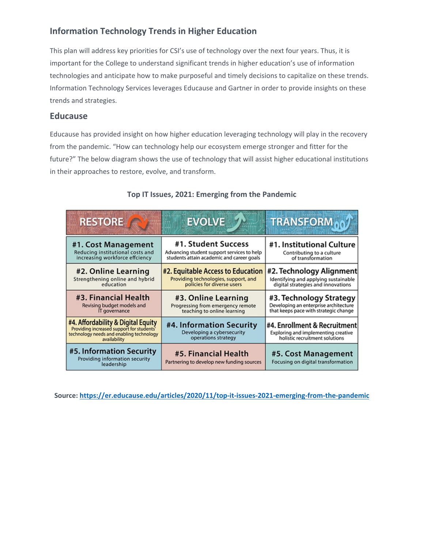# **Information Technology Trends in Higher Education**

 This plan will address key priorities for CSI's use of technology over the next four years. Thus, it is technologies and anticipate how to make purposeful and timely decisions to capitalize on these trends. Information Technology Services leverages Educause and Gartner in order to provide insights on these important for the College to understand significant trends in higher education's use of information trends and strategies.

## **Educause**

 from the pandemic. "How can technology help our ecosystem emerge stronger and fitter for the future?" The below diagram shows the use of technology that will assist higher educational institutions Educause has provided insight on how higher education leveraging technology will play in the recovery in their approaches to restore, evolve, and transform.

| <b>RESTORE</b>                                                                                                                              | <b>EVOLVE</b>                                                                 | <b>TRANSFORM00</b>                                                                                    |  |  |
|---------------------------------------------------------------------------------------------------------------------------------------------|-------------------------------------------------------------------------------|-------------------------------------------------------------------------------------------------------|--|--|
| #1. Cost Management                                                                                                                         | #1. Student Success                                                           | #1. Institutional Culture                                                                             |  |  |
| Reducing institutional costs and                                                                                                            | Advancing student support services to help                                    | Contributing to a culture                                                                             |  |  |
| increasing workforce effciency                                                                                                              | students attain academic and career goals                                     | of transformation                                                                                     |  |  |
| #2. Online Learning                                                                                                                         | #2. Equitable Access to Education                                             | #2. Technology Alignment                                                                              |  |  |
| Strengthening online and hybrid                                                                                                             | Providing technologies, support, and                                          | Identifying and applying sustainable                                                                  |  |  |
| education                                                                                                                                   | policies for diverse users                                                    | digital strategies and innovations                                                                    |  |  |
| #3. Financial Health                                                                                                                        | #3. Online Learning                                                           | #3. Technology Strategy                                                                               |  |  |
| Revising budget models and                                                                                                                  | Progressing from emergency remote                                             | Developing an enterprise architecture                                                                 |  |  |
| IT governance                                                                                                                               | teaching to online learning                                                   | that keeps pace with strategic change                                                                 |  |  |
| #4. Affordability & Digital Equity<br>Providing increased support for students'<br>technology needs and enabling technology<br>availability | #4. Information Security<br>Developing a cybersecurity<br>operations strategy | #4. Enrollment & Recruitment<br>Exploring and implementing creative<br>holistic recruitment solutions |  |  |
| #5. Information Security<br>Providing information security<br>leadership                                                                    | #5. Financial Health<br>Partnering to develop new funding sources             | #5. Cost Management<br>Focusing on digital transformation                                             |  |  |

### **Top IT Issues, 2021: Emerging from the Pandemic**

 **Source:<https://er.educause.edu/articles/2020/11/top-it-issues-2021-emerging-from-the-pandemic>**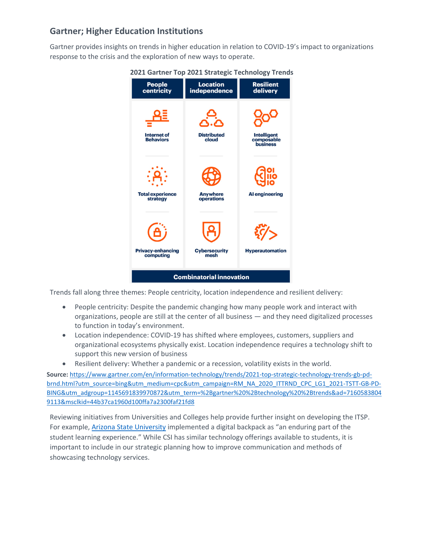# **Gartner; Higher Education Institutions**

Gartner provides insights on trends in higher education in relation to COVID-19's impact to organizations response to the crisis and the exploration of new ways to operate.



#### **2021 Gartner Top 2021 Strategic Technology Trends**

Trends fall along three themes: People centricity, location independence and resilient delivery:

- People centricity: Despite the pandemic changing how many people work and interact with organizations, people are still at the center of all business — and they need digitalized processes to function in today's environment.
- organizational ecosystems physically exist. Location independence requires a technology shift to support this new version of business • Location independence: COVID-19 has shifted where employees, customers, suppliers and
- Resilient delivery: Whether a pandemic or a recession, volatility exists in the world.

9113&msclkid=44b37ca1960d100ffa7a2300faf21fd8 **Source:** [https://www.gartner.com/en/information-technology/trends/2021-top-strategic-technology-trends-gb-pd](https://www.gartner.com/en/information-technology/trends/2021-top-strategic-technology-trends-gb-pd-brnd.html?utm_source=bing&utm_medium=cpc&utm_campaign=RM_NA_2020_ITTRND_CPC_LG1_2021-TSTT-GB-PD-BING&utm_adgroup=1145691839970872&utm_term=%2Bgartner%20%2Btechnology%20%2Btrends&ad=71605838049113&msclkid=44b37ca1960d100ffa7a2300faf21fd8)[brnd.html?utm\\_source=bing&utm\\_medium=cpc&utm\\_campaign=RM\\_NA\\_2020\\_ITTRND\\_CPC\\_LG1\\_2021-TSTT-GB-PD-](https://www.gartner.com/en/information-technology/trends/2021-top-strategic-technology-trends-gb-pd-brnd.html?utm_source=bing&utm_medium=cpc&utm_campaign=RM_NA_2020_ITTRND_CPC_LG1_2021-TSTT-GB-PD-BING&utm_adgroup=1145691839970872&utm_term=%2Bgartner%20%2Btechnology%20%2Btrends&ad=71605838049113&msclkid=44b37ca1960d100ffa7a2300faf21fd8)[BING&utm\\_adgroup=1145691839970872&utm\\_term=%2Bgartner%20%2Btechnology%20%2Btrends&ad=7160583804](https://www.gartner.com/en/information-technology/trends/2021-top-strategic-technology-trends-gb-pd-brnd.html?utm_source=bing&utm_medium=cpc&utm_campaign=RM_NA_2020_ITTRND_CPC_LG1_2021-TSTT-GB-PD-BING&utm_adgroup=1145691839970872&utm_term=%2Bgartner%20%2Btechnology%20%2Btrends&ad=71605838049113&msclkid=44b37ca1960d100ffa7a2300faf21fd8) 

 important to include in our strategic planning how to improve communication and methods of showcasing technology services. Reviewing initiatives from Universities and Colleges help provide further insight on developing the ITSP. For example, [Arizona State University](https://digital.1105media.com/CampusTech/2020/CAM_2020_10/SY_2010Q1_701922855.html#p=32) implemented a digital backpack as "an enduring part of the student learning experience." While CSI has similar technology offerings available to students, it is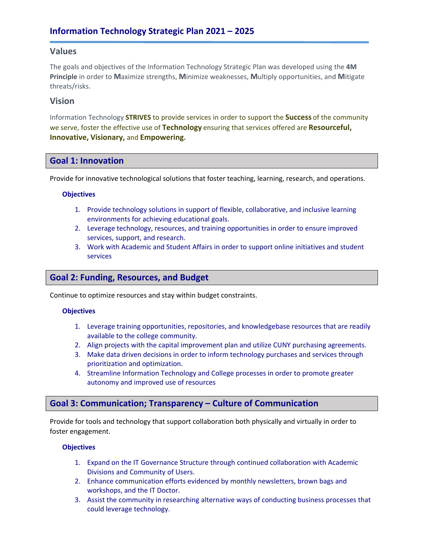## **Values**

The goals and objectives of the Information Technology Strategic Plan was developed using the **4M Principle** in order to **M**aximize strengths, **M**inimize weaknesses, **M**ultiply opportunities, and **M**itigate threats/risks.

### **Vision**

Information Technology **STRIVES** to provide services in order to support the **Success** of the community we serve, foster the effective use of **Technology** ensuring that services offered are **Resourceful, Innovative, Visionary,** and **Empowering.** 

## **Goal 1: Innovation**

Provide for innovative technological solutions that foster teaching, learning, research, and operations.

### **Objectives**

- 1. Provide technology solutions in support of flexible, collaborative, and inclusive learning environments for achieving educational goals.
- 2. Leverage technology, resources, and training opportunities in order to ensure improved services, support, and research.
- 3. Work with Academic and Student Affairs in order to support online initiatives and student services

## **Goal 2: Funding, Resources, and Budget**

Continue to optimize resources and stay within budget constraints.

### **Objectives**

- 1. Leverage training opportunities, repositories, and knowledgebase resources that are readily available to the college community.
- 2. Align projects with the capital improvement plan and utilize CUNY purchasing agreements.
- 3. Make data driven decisions in order to inform technology purchases and services through prioritization and optimization.
- 4. Streamline Information Technology and College processes in order to promote greater autonomy and improved use of resources

# **Goal 3: Communication; Transparency – Culture of Communication**

 Provide for tools and technology that support collaboration both physically and virtually in order to foster engagement.

### **Objectives**

- Divisions and Community of Users. 1. Expand on the IT Governance Structure through continued collaboration with Academic
- 2. Enhance communication efforts evidenced by monthly newsletters, brown bags and workshops, and the IT Doctor.
- 3. Assist the community in researching alternative ways of conducting business processes that could leverage technology.